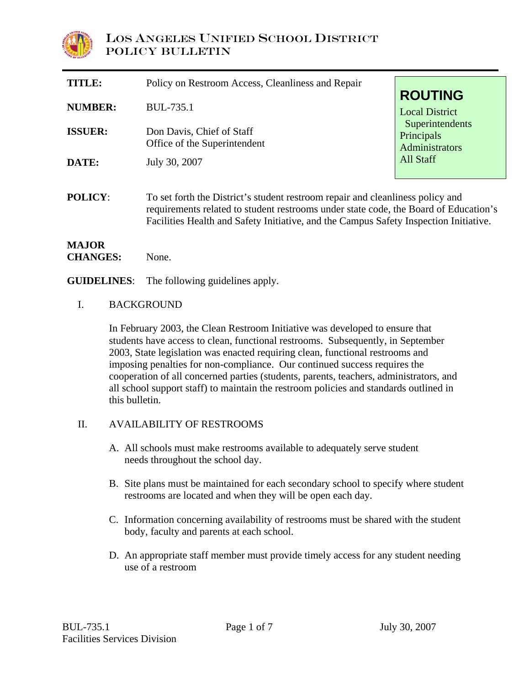

| TITLE:                          | Policy on Restroom Access, Cleanliness and Repair                                                                                                                                                                                                               |                                                                                            |
|---------------------------------|-----------------------------------------------------------------------------------------------------------------------------------------------------------------------------------------------------------------------------------------------------------------|--------------------------------------------------------------------------------------------|
| <b>NUMBER:</b>                  | <b>BUL-735.1</b>                                                                                                                                                                                                                                                | <b>ROUTING</b><br><b>Local District</b><br>Superintendents<br>Principals<br>Administrators |
| <b>ISSUER:</b>                  | Don Davis, Chief of Staff<br>Office of the Superintendent                                                                                                                                                                                                       |                                                                                            |
| DATE:                           | July 30, 2007                                                                                                                                                                                                                                                   | All Staff                                                                                  |
| <b>POLICY:</b>                  | To set forth the District's student restroom repair and cleanliness policy and<br>requirements related to student restrooms under state code, the Board of Education's<br>Facilities Health and Safety Initiative, and the Campus Safety Inspection Initiative. |                                                                                            |
| <b>MAJOR</b><br><b>CHANGES:</b> | None.                                                                                                                                                                                                                                                           |                                                                                            |

**GUIDELINES**: The following guidelines apply.

I. BACKGROUND

In February 2003, the Clean Restroom Initiative was developed to ensure that students have access to clean, functional restrooms. Subsequently, in September 2003, State legislation was enacted requiring clean, functional restrooms and imposing penalties for non-compliance. Our continued success requires the cooperation of all concerned parties (students, parents, teachers, administrators, and all school support staff) to maintain the restroom policies and standards outlined in this bulletin.

# II. AVAILABILITY OF RESTROOMS

- A. All schools must make restrooms available to adequately serve student needs throughout the school day.
- B. Site plans must be maintained for each secondary school to specify where student restrooms are located and when they will be open each day.
- C. Information concerning availability of restrooms must be shared with the student body, faculty and parents at each school.
- D. An appropriate staff member must provide timely access for any student needing use of a restroom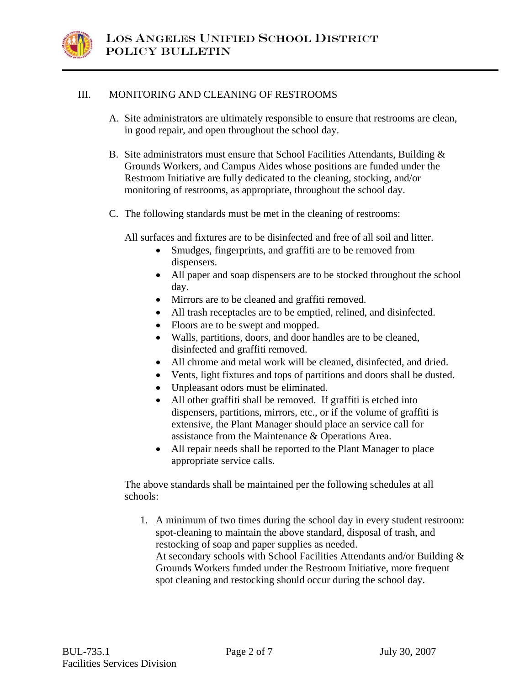

#### III. MONITORING AND CLEANING OF RESTROOMS

- A. Site administrators are ultimately responsible to ensure that restrooms are clean, in good repair, and open throughout the school day.
- B. Site administrators must ensure that School Facilities Attendants, Building & Grounds Workers, and Campus Aides whose positions are funded under the Restroom Initiative are fully dedicated to the cleaning, stocking, and/or monitoring of restrooms, as appropriate, throughout the school day.
- C. The following standards must be met in the cleaning of restrooms:

All surfaces and fixtures are to be disinfected and free of all soil and litter.

- Smudges, fingerprints, and graffiti are to be removed from dispensers.
- All paper and soap dispensers are to be stocked throughout the school day.
- Mirrors are to be cleaned and graffiti removed.
- All trash receptacles are to be emptied, relined, and disinfected.
- Floors are to be swept and mopped.
- Walls, partitions, doors, and door handles are to be cleaned, disinfected and graffiti removed.
- All chrome and metal work will be cleaned, disinfected, and dried.
- Vents, light fixtures and tops of partitions and doors shall be dusted.
- Unpleasant odors must be eliminated.
- All other graffiti shall be removed. If graffiti is etched into dispensers, partitions, mirrors, etc., or if the volume of graffiti is extensive, the Plant Manager should place an service call for assistance from the Maintenance & Operations Area.
- All repair needs shall be reported to the Plant Manager to place appropriate service calls.

The above standards shall be maintained per the following schedules at all schools:

1. A minimum of two times during the school day in every student restroom: spot-cleaning to maintain the above standard, disposal of trash, and restocking of soap and paper supplies as needed. At secondary schools with School Facilities Attendants and/or Building & Grounds Workers funded under the Restroom Initiative, more frequent spot cleaning and restocking should occur during the school day.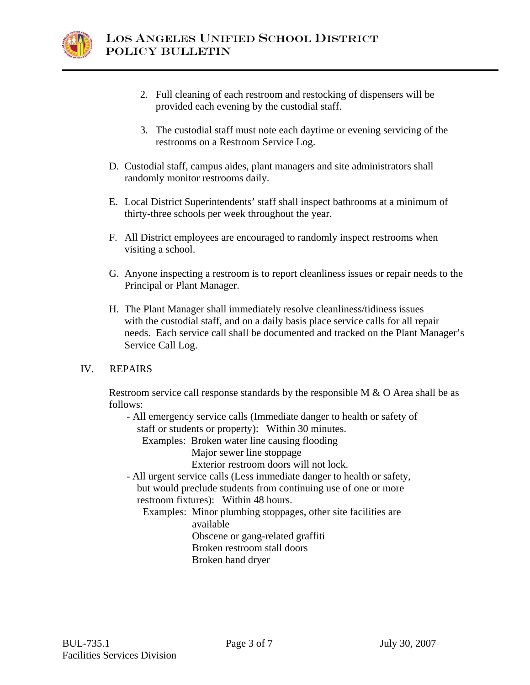

- 2. Full cleaning of each restroom and restocking of dispensers will be provided each evening by the custodial staff.
- 3. The custodial staff must note each daytime or evening servicing of the restrooms on a Restroom Service Log.
- D. Custodial staff, campus aides, plant managers and site administrators shall randomly monitor restrooms daily.
- E. Local District Superintendents' staff shall inspect bathrooms at a minimum of thirty-three schools per week throughout the year.
- F. All District employees are encouraged to randomly inspect restrooms when visiting a school.
- G. Anyone inspecting a restroom is to report cleanliness issues or repair needs to the Principal or Plant Manager.
- H. The Plant Manager shall immediately resolve cleanliness/tidiness issues with the custodial staff, and on a daily basis place service calls for all repair needs. Each service call shall be documented and tracked on the Plant Manager's Service Call Log.

### IV. REPAIRS

Restroom service call response standards by the responsible M  $\&$  O Area shall be as follows:

- All emergency service calls (Immediate danger to health or safety of staff or students or property): Within 30 minutes.
	- Examples: Broken water line causing flooding
		- Major sewer line stoppage
		- Exterior restroom doors will not lock.
- All urgent service calls (Less immediate danger to health or safety, but would preclude students from continuing use of one or more restroom fixtures): Within 48 hours.
	- Examples: Minor plumbing stoppages, other site facilities are available Obscene or gang-related graffiti
		- Broken restroom stall doors Broken hand dryer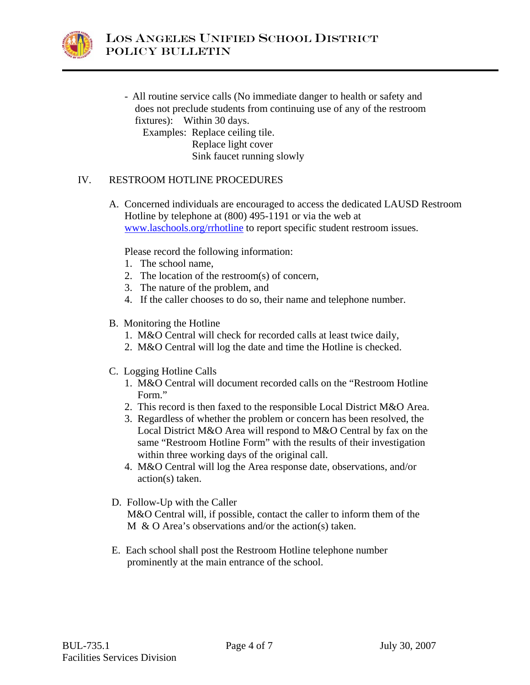

- All routine service calls (No immediate danger to health or safety and does not preclude students from continuing use of any of the restroom fixtures): Within 30 days. Examples: Replace ceiling tile. Replace light cover Sink faucet running slowly

## IV. RESTROOM HOTLINE PROCEDURES

A. Concerned individuals are encouraged to access the dedicated LAUSD Restroom Hotline by telephone at (800) 495-1191 or via the web at www.laschools.org/rrhotline to report specific student restroom issues.

Please record the following information:

- 1. The school name,
- 2. The location of the restroom(s) of concern,
- 3. The nature of the problem, and
- 4. If the caller chooses to do so, their name and telephone number.
- B. Monitoring the Hotline
	- 1. M&O Central will check for recorded calls at least twice daily,
	- 2. M&O Central will log the date and time the Hotline is checked.
- C. Logging Hotline Calls
	- 1. M&O Central will document recorded calls on the "Restroom Hotline Form."
	- 2. This record is then faxed to the responsible Local District M&O Area.
	- 3. Regardless of whether the problem or concern has been resolved, the Local District M&O Area will respond to M&O Central by fax on the same "Restroom Hotline Form" with the results of their investigation within three working days of the original call.
	- 4. M&O Central will log the Area response date, observations, and/or action(s) taken.
- D. Follow-Up with the Caller

 M&O Central will, if possible, contact the caller to inform them of the M & O Area's observations and/or the action(s) taken.

E. Each school shall post the Restroom Hotline telephone number prominently at the main entrance of the school.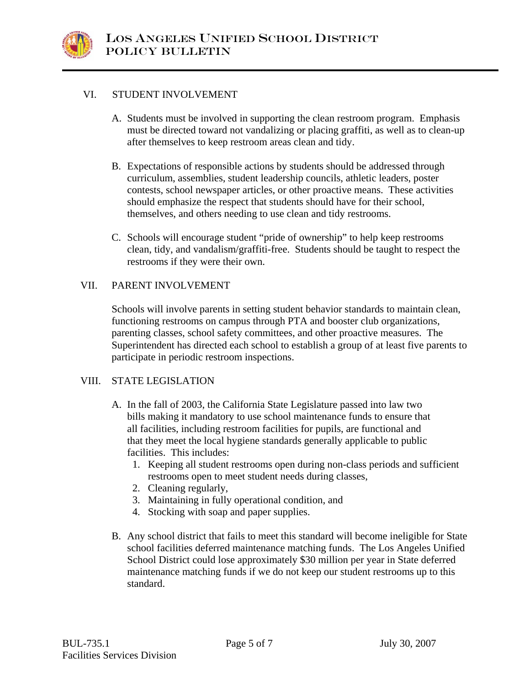

### VI. STUDENT INVOLVEMENT

- A. Students must be involved in supporting the clean restroom program. Emphasis must be directed toward not vandalizing or placing graffiti, as well as to clean-up after themselves to keep restroom areas clean and tidy.
- B. Expectations of responsible actions by students should be addressed through curriculum, assemblies, student leadership councils, athletic leaders, poster contests, school newspaper articles, or other proactive means. These activities should emphasize the respect that students should have for their school, themselves, and others needing to use clean and tidy restrooms.
- C. Schools will encourage student "pride of ownership" to help keep restrooms clean, tidy, and vandalism/graffiti-free. Students should be taught to respect the restrooms if they were their own.

### VII. PARENT INVOLVEMENT

Schools will involve parents in setting student behavior standards to maintain clean, functioning restrooms on campus through PTA and booster club organizations, parenting classes, school safety committees, and other proactive measures. The Superintendent has directed each school to establish a group of at least five parents to participate in periodic restroom inspections.

### VIII. STATE LEGISLATION

- A. In the fall of 2003, the California State Legislature passed into law two bills making it mandatory to use school maintenance funds to ensure that all facilities, including restroom facilities for pupils, are functional and that they meet the local hygiene standards generally applicable to public facilities. This includes:
	- 1. Keeping all student restrooms open during non-class periods and sufficient restrooms open to meet student needs during classes,
	- 2. Cleaning regularly,
	- 3. Maintaining in fully operational condition, and
	- 4. Stocking with soap and paper supplies.
- B. Any school district that fails to meet this standard will become ineligible for State school facilities deferred maintenance matching funds. The Los Angeles Unified School District could lose approximately \$30 million per year in State deferred maintenance matching funds if we do not keep our student restrooms up to this standard.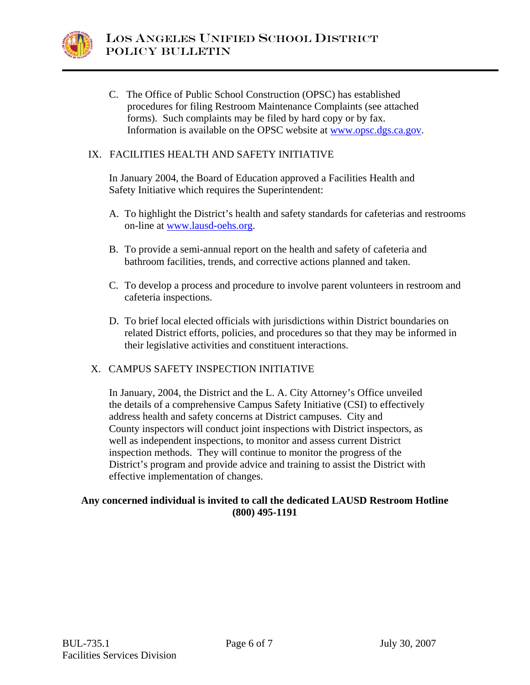C. The Office of Public School Construction (OPSC) has established procedures for filing Restroom Maintenance Complaints (see attached forms). Such complaints may be filed by hard copy or by fax. Information is available on the OPSC website at www.opsc.dgs.ca.gov.

### IX. FACILITIES HEALTH AND SAFETY INITIATIVE

 In January 2004, the Board of Education approved a Facilities Health and Safety Initiative which requires the Superintendent:

- A. To highlight the District's health and safety standards for cafeterias and restrooms on-line at www.lausd-oehs.org.
- B. To provide a semi-annual report on the health and safety of cafeteria and bathroom facilities, trends, and corrective actions planned and taken.
- C. To develop a process and procedure to involve parent volunteers in restroom and cafeteria inspections.
- D. To brief local elected officials with jurisdictions within District boundaries on related District efforts, policies, and procedures so that they may be informed in their legislative activities and constituent interactions.

### X. CAMPUS SAFETY INSPECTION INITIATIVE

 In January, 2004, the District and the L. A. City Attorney's Office unveiled the details of a comprehensive Campus Safety Initiative (CSI) to effectively address health and safety concerns at District campuses. City and County inspectors will conduct joint inspections with District inspectors, as well as independent inspections, to monitor and assess current District inspection methods. They will continue to monitor the progress of the District's program and provide advice and training to assist the District with effective implementation of changes.

#### **Any concerned individual is invited to call the dedicated LAUSD Restroom Hotline (800) 495-1191**